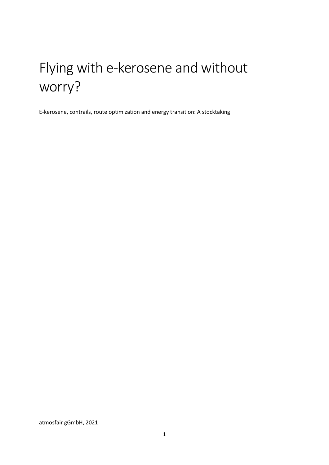# Flying with e-kerosene and without worry?

E-kerosene, contrails, route optimization and energy transition: A stocktaking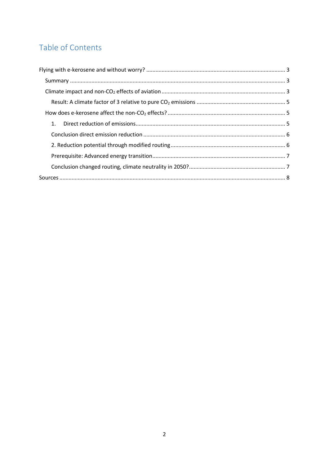# Table of Contents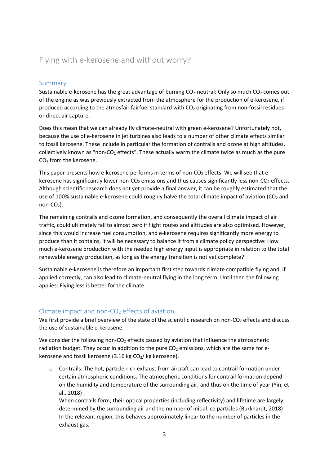# <span id="page-2-0"></span>Flying with e-kerosene and without worry?

## <span id="page-2-1"></span>Summary

Sustainable e-kerosene has the great advantage of burning  $CO<sub>2</sub>$ -neutral: Only so much  $CO<sub>2</sub>$  comes out of the engine as was previously extracted from the atmosphere for the production of e-kerosene, if produced according to the atmosfair fairfuel standard with CO<sup>2</sup> originating from non-fossil residues or direct air capture.

Does this mean that we can already fly climate-neutral with green e-kerosene? Unfortunately not, because the use of e-kerosene in jet turbines also leads to a number of other climate effects similar to fossil kerosene. These include in particular the formation of contrails and ozone at high altitudes, collectively known as "non- $CO<sub>2</sub>$  effects". These actually warm the climate twice as much as the pure CO<sup>2</sup> from the kerosene.

This paper presents how e-kerosene performs in terms of non- $CO<sub>2</sub>$  effects. We will see that ekerosene has significantly lower non-CO<sub>2</sub> emissions and thus causes significantly less non-CO<sub>2</sub> effects. Although scientific research does not yet provide a final answer, it can be roughly estimated that the use of 100% sustainable e-kerosene could roughly halve the total climate impact of aviation ( $CO<sub>2</sub>$  and non- $CO<sub>2</sub>$ ).

The remaining contrails and ozone formation, and consequently the overall climate impact of air traffic, could ultimately fall to almost zero if flight routes and altitudes are also optimised. However, since this would increase fuel consumption, and e-kerosene requires significantly more energy to produce than it contains, it will be necessary to balance it from a climate policy perspective: How much e-kerosene production with the needed high energy input is appropriate in relation to the total renewable energy production, as long as the energy transition is not yet complete?

Sustainable e-kerosene is therefore an important first step towards climate compatible flying and, if applied correctly, can also lead to climate-neutral flying in the long term. Until then the following applies: Flying less is better for the climate.

## <span id="page-2-2"></span>Climate impact and non- $CO<sub>2</sub>$  effects of aviation

We first provide a brief overview of the state of the scientific research on non-CO<sub>2</sub> effects and discuss the use of sustainable e-kerosene.

We consider the following non- $CO<sub>2</sub>$  effects caused by aviation that influence the atmospheric radiation budget. They occur in addition to the pure  $CO<sub>2</sub>$  emissions, which are the same for ekerosene and fossil kerosene (3.16 kg  $CO<sub>2</sub>$ / kg kerosene).

 $\circ$  Contrails: The hot, particle-rich exhaust from aircraft can lead to contrail formation under certain atmospheric conditions. The atmospheric conditions for contrail formation depend on the humidity and temperature of the surrounding air, and thus on the time of year (Yin, et al., 2018) .

When contrails form, their optical properties (including reflectivity) and lifetime are largely determined by the surrounding air and the number of initial ice particles (Burkhardt, 2018) . In the relevant region, this behaves approximately linear to the number of particles in the exhaust gas.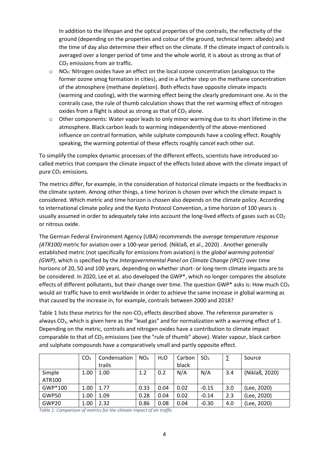In addition to the lifespan and the optical properties of the contrails, the reflectivity of the ground (depending on the properties and colour of the ground, technical term: albedo) and the time of day also determine their effect on the climate. If the climate impact of contrails is averaged over a longer period of time and the whole world, it is about as strong as that of CO<sup>2</sup> emissions from air traffic.

- $\circ$  NO<sub>x</sub>: Nitrogen oxides have an effect on the local ozone concentration (analogous to the former ozone smog formation in cities), and in a further step on the methane concentration of the atmosphere (methane depletion). Both effects have opposite climate impacts (warming and cooling), with the warming effect being the clearly predominant one. As in the contrails case, the rule of thumb calculation shows that the net warming effect of nitrogen oxides from a flight is about as strong as that of  $CO<sub>2</sub>$  alone.
- $\circ$  Other components: Water vapor leads to only minor warming due to its short lifetime in the atmosphere. Black carbon leads to warming independently of the above-mentioned influence on contrail formation, while sulphate compounds have a cooling effect. Roughly speaking, the warming potential of these effects roughly cancel each other out.

To simplify the complex dynamic processes of the different effects, scientists have introduced socalled metrics that compare the climate impact of the effects listed above with the climate impact of pure CO<sub>2</sub> emissions.

The metrics differ, for example, in the consideration of historical climate impacts or the feedbacks in the climate system. Among other things, a time horizon is chosen over which the climate impact is considered. Which metric and time horizon is chosen also depends on the climate policy. According to international climate policy and the Kyoto Protocol Convention, a time horizon of 100 years is usually assumed in order to adequately take into account the long-lived effects of gases such as  $CO<sub>2</sub>$ or nitrous oxide.

The German Federal Environment Agency (UBA) recommends the *average temperature response (ATR100)* metric for aviation over a 100-year period. (Niklaß, et al., 2020) . Another generally established metric (not specifically for emissions from aviation) is the *global warming potential (GWP)*, which is specified by the *Intergovernmental Panel on Climate Change (IPCC)* over time horizons of 20, 50 and 100 years, depending on whether short- or long-term climate impacts are to be considered. In 2020, Lee et al. also developed the GWP\*, which no longer compares the absolute effects of different pollutants, but their change over time. The question GWP\* asks is: How much  $CO<sub>2</sub>$ would air traffic have to emit worldwide in order to achieve the same increase in global warming as that caused by the increase in, for example, contrails between 2000 and 2018?

Table 1 lists these metrics for the non- $CO<sub>2</sub>$  effects described above. The reference parameter is always CO<sub>2</sub>, which is given here as the "lead gas" and for normalization with a warming effect of 1. Depending on the metric, contrails and nitrogen oxides have a contribution to climate impact comparable to that of  $CO<sub>2</sub>$  emissions (see the "rule of thumb" above). Water vapour, black carbon and sulphate compounds have a comparatively small and partly opposite effect.

|         | CO <sub>2</sub> | Condensation | NO <sub>x</sub> | $H_2O$ | Carbon | SO <sub>2</sub> |     | Source         |
|---------|-----------------|--------------|-----------------|--------|--------|-----------------|-----|----------------|
|         |                 | trails       |                 |        | black  |                 |     |                |
| Simple  | 1.00            | 1.00         | 1.2             | 0.2    | N/A    | N/A             | 3.4 | (Niklaß, 2020) |
| ATR100  |                 |              |                 |        |        |                 |     |                |
| GWP*100 | 1.00            | 1.77         | 0.33            | 0.04   | 0.02   | $-0.15$         | 3.0 | (Lee, 2020)    |
| GWP50   | 1.00            | 1.09         | 0.28            | 0.04   | 0.02   | $-0.14$         | 2.3 | (Lee, 2020)    |
| GWP20   | 1.00            | 2.32         | 0.86            | 0.08   | 0.04   | $-0.30$         | 4.0 | (Lee, 2020)    |

*Table 1: Comparison of metrics for the climate impact of air traffic*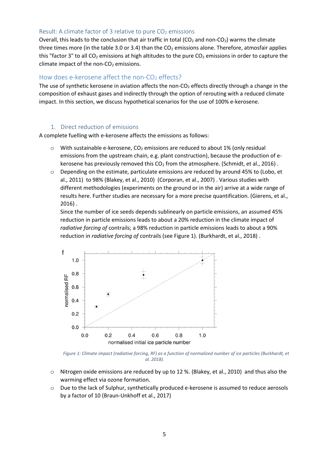#### <span id="page-4-0"></span>Result: A climate factor of 3 relative to pure  $CO<sub>2</sub>$  emissions

Overall, this leads to the conclusion that air traffic in total ( $CO<sub>2</sub>$  and non- $CO<sub>2</sub>$ ) warms the climate three times more (in the table 3.0 or 3.4) than the  $CO<sub>2</sub>$  emissions alone. Therefore, atmosfair applies this "factor 3" to all  $CO<sub>2</sub>$  emissions at high altitudes to the pure  $CO<sub>2</sub>$  emissions in order to capture the climate impact of the non- $CO<sub>2</sub>$  emissions.

#### <span id="page-4-1"></span>How does e-kerosene affect the non- $CO<sub>2</sub>$  effects?

The use of synthetic kerosene in aviation affects the non-CO<sub>2</sub> effects directly through a change in the composition of exhaust gases and indirectly through the option of rerouting with a reduced climate impact. In this section, we discuss hypothetical scenarios for the use of 100% e-kerosene.

#### 1. Direct reduction of emissions

<span id="page-4-2"></span>A complete fuelling with e-kerosene affects the emissions as follows:

- $\circ$  With sustainable e-kerosene, CO<sub>2</sub> emissions are reduced to about 1% (only residual emissions from the upstream chain, e.g. plant construction), because the production of ekerosene has previously removed this  $CO<sub>2</sub>$  from the atmosphere. (Schmidt, et al., 2016).
- $\circ$  Depending on the estimate, particulate emissions are reduced by around 45% to (Lobo, et al., 2011) to 98% (Blakey, et al., 2010) (Corporan, et al., 2007) . Various studies with different methodologies (experiments on the ground or in the air) arrive at a wide range of results here. Further studies are necessary for a more precise quantification. (Gierens, et al., 2016) .

Since the number of ice seeds depends sublinearly on particle emissions, an assumed 45% reduction in particle emissions leads to about a 20% reduction in the climate impact of *radiative forcing of* contrails; a 98% reduction in particle emissions leads to about a 90% reduction in *radiative forcing of* contrails (see Figure 1). (Burkhardt, et al., 2018) .



*Figure 1: Climate impact (radiative forcing, RF) as a function of normalized number of ice particles (Burkhardt, et al. 2018).*

- $\circ$  Nitrogen oxide emissions are reduced by up to 12 %. (Blakey, et al., 2010) and thus also the warming effect via ozone formation.
- o Due to the lack of Sulphur, synthetically produced e-kerosene is assumed to reduce aerosols by a factor of 10 (Braun-Unkhoff et al., 2017)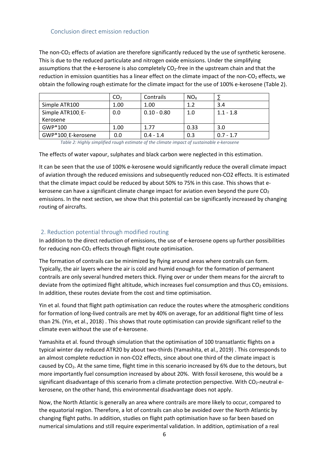<span id="page-5-0"></span>The non-CO<sub>2</sub> effects of aviation are therefore significantly reduced by the use of synthetic kerosene. This is due to the reduced particulate and nitrogen oxide emissions. Under the simplifying assumptions that the e-kerosene is also completely  $CO_2$ -free in the upstream chain and that the reduction in emission quantities has a linear effect on the climate impact of the non-CO<sub>2</sub> effects, we obtain the following rough estimate for the climate impact for the use of 100% e-kerosene (Table 2).

|                    | CO <sub>2</sub> | Contrails     | NO <sub>x</sub> |             |  |
|--------------------|-----------------|---------------|-----------------|-------------|--|
| Simple ATR100      | 1.00            | 1.00          | 1.2             | 3.4         |  |
| Simple ATR100, E-  | 0.0             | $0.10 - 0.80$ | 1.0             | $1.1 - 1.8$ |  |
| Kerosene           |                 |               |                 |             |  |
| GWP*100            | 1.00            | 1.77          | 0.33            | 3.0         |  |
| GWP*100 E-kerosene | 0.0             | $0.4 - 1.4$   | 0.3             | $0.7 - 1.7$ |  |

*Table 2: Highly simplified rough estimate of the climate impact of sustainable e-kerosene*

The effects of water vapour, sulphates and black carbon were neglected in this estimation.

It can be seen that the use of 100% e-kerosene would significantly reduce the overall climate impact of aviation through the reduced emissions and subsequently reduced non-CO2 effects. It is estimated that the climate impact could be reduced by about 50% to 75% in this case. This shows that ekerosene can have a significant climate change impact for aviation even beyond the pure  $CO<sub>2</sub>$ emissions. In the next section, we show that this potential can be significantly increased by changing routing of aircrafts.

#### <span id="page-5-1"></span>2. Reduction potential through modified routing

In addition to the direct reduction of emissions, the use of e-kerosene opens up further possibilities for reducing non-CO<sub>2</sub> effects through flight route optimisation.

The formation of contrails can be minimized by flying around areas where contrails can form. Typically, the air layers where the air is cold and humid enough for the formation of permanent contrails are only several hundred meters thick. Flying over or under them means for the aircraft to deviate from the optimized flight altitude, which increases fuel consumption and thus  $CO<sub>2</sub>$  emissions. In addition, these routes deviate from the cost and time optimisation.

Yin et al. found that flight path optimisation can reduce the routes where the atmospheric conditions for formation of long-lived contrails are met by 40% on average, for an additional flight time of less than 2%. (Yin, et al., 2018) . This shows that route optimisation can provide significant relief to the climate even without the use of e-kerosene.

Yamashita et al. found through simulation that the optimisation of 100 transatlantic flights on a typical winter day reduced ATR20 by about two-thirds (Yamashita, et al., 2019) . This corresponds to an almost complete reduction in non-CO2 effects, since about one third of the climate impact is caused by CO2. At the same time, flight time in this scenario increased by 6% due to the detours, but more importantly fuel consumption increased by about 20%. With fossil kerosene, this would be a significant disadvantage of this scenario from a climate protection perspective. With CO<sub>2</sub>-neutral ekerosene, on the other hand, this environmental disadvantage does not apply.

Now, the North Atlantic is generally an area where contrails are more likely to occur, compared to the equatorial region. Therefore, a lot of contrails can also be avoided over the North Atlantic by changing flight paths. In addition, studies on flight path optimisation have so far been based on numerical simulations and still require experimental validation. In addition, optimisation of a real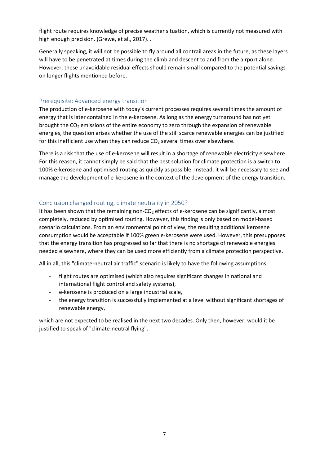flight route requires knowledge of precise weather situation, which is currently not measured with high enough precision. (Grewe, et al., 2017). .

Generally speaking, it will not be possible to fly around all contrail areas in the future, as these layers will have to be penetrated at times during the climb and descent to and from the airport alone. However, these unavoidable residual effects should remain small compared to the potential savings on longer flights mentioned before.

#### <span id="page-6-0"></span>Prerequisite: Advanced energy transition

The production of e-kerosene with today's current processes requires several times the amount of energy that is later contained in the e-kerosene. As long as the energy turnaround has not yet brought the  $CO<sub>2</sub>$  emissions of the entire economy to zero through the expansion of renewable energies, the question arises whether the use of the still scarce renewable energies can be justified for this inefficient use when they can reduce  $CO<sub>2</sub>$  several times over elsewhere.

There is a risk that the use of e-kerosene will result in a shortage of renewable electricity elsewhere. For this reason, it cannot simply be said that the best solution for climate protection is a switch to 100% e-kerosene and optimised routing as quickly as possible. Instead, it will be necessary to see and manage the development of e-kerosene in the context of the development of the energy transition.

#### <span id="page-6-1"></span>Conclusion changed routing, climate neutrality in 2050?

It has been shown that the remaining non- $CO<sub>2</sub>$  effects of e-kerosene can be significantly, almost completely, reduced by optimised routing. However, this finding is only based on model-based scenario calculations. From an environmental point of view, the resulting additional kerosene consumption would be acceptable if 100% green e-kerosene were used. However, this presupposes that the energy transition has progressed so far that there is no shortage of renewable energies needed elsewhere, where they can be used more efficiently from a climate protection perspective.

All in all, this "climate-neutral air traffic" scenario is likely to have the following assumptions

- flight routes are optimised (which also requires significant changes in national and international flight control and safety systems),
- e-kerosene is produced on a large industrial scale,
- the energy transition is successfully implemented at a level without significant shortages of renewable energy,

which are not expected to be realised in the next two decades. Only then, however, would it be justified to speak of "climate-neutral flying".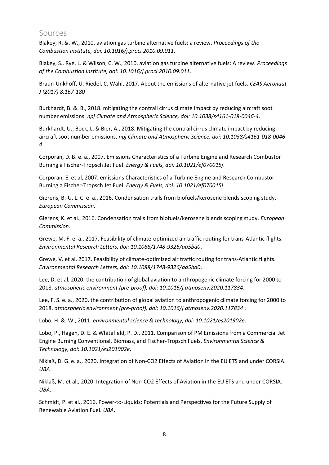## <span id="page-7-0"></span>Sources

Blakey, R. &. W., 2010. aviation gas turbine alternative fuels: a review. *Proceedings of the Combustion Institute, doi: 10.1016/j.proci.2010.09.011*.

Blakey, S., Rye, L. & Wilson, C. W., 2010. aviation gas turbine alternative fuels: A review. *Proceedings of the Combustion Institute, doi: 10.1016/j.proci.2010.09.011*.

Braun-Unkhoff, U. Riedel, C. Wahl, 2017. About the emissions of alternative jet fuels. *CEAS Aeronaut J (2017) 8:167-180*

Burkhardt, B. &. B., 2018. mitigating the contrail cirrus climate impact by reducing aircraft soot number emissions. *npj Climate and Atmospheric Science, doi: 10.1038/s4161-018-0046-4*.

Burkhardt, U., Bock, L. & Bier, A., 2018. Mitigating the contrail cirrus climate impact by reducing aircraft soot number emissions. *npj Climate and Atmospheric Science, doi: 10.1038/s4161-018-0046- 4*.

Corporan, D. B. e. a., 2007. Emissions Characteristics of a Turbine Engine and Research Combustor Burning a Fischer-Tropsch Jet Fuel. *Energy & Fuels, doi: 10.1021/ef070015j*.

Corporan, E. et al, 2007. emissions Characteristics of a Turbine Engine and Research Combustor Burning a Fischer-Tropsch Jet Fuel. *Energy & Fuels, doi: 10.1021/ef070015j*.

Gierens, B.-U. L. C. e. a., 2016. Condensation trails from biofuels/kerosene blends scoping study. *European Commission*.

Gierens, K. et al., 2016. Condensation trails from biofuels/kerosene blends scoping study. *European Commission*.

Grewe, M. F. e. a., 2017. Feasibility of climate-optimized air traffic routing for trans-Atlantic flights. *Environmental Research Letters, doi: 10.1088/1748-9326/aa5ba0*.

Grewe, V. et al, 2017. Feasibility of climate-optimized air traffic routing for trans-Atlantic flights. *Environmental Research Letters, doi: 10.1088/1748-9326/aa5ba0*.

Lee, D. et al, 2020. the contribution of global aviation to anthropogenic climate forcing for 2000 to 2018. *atmospheric environment (pre-proof), doi: 10.1016/j.atmosenv.2020.117834*.

Lee, F. S. e. a., 2020. the contribution of global aviation to anthropogenic climate forcing for 2000 to 2018. *atmospheric environment (pre-proof), doi: 10.1016/j.atmosenv.2020.117834* .

Lobo, H. &. W., 2011. *environmental science & technology, doi: 10.1021/es201902e*.

Lobo, P., Hagen, D. E. & Whitefield, P. D., 2011. Comparison of PM Emissions from a Commercial Jet Engine Burning Conventional, Biomass, and Fischer-Tropsch Fuels. *Environmental Science & Technology, doi: 10.1021/es201902e*.

Niklaß, D. G. e. a., 2020. Integration of Non-CO2 Effects of Aviation in the EU ETS and under CORSIA. *UBA* .

Niklaß, M. et al., 2020. Integration of Non-CO2 Effects of Aviation in the EU ETS and under CORSIA. *UBA*.

Schmidt, P. et al., 2016. Power-to-Liquids: Potentials and Perspectives for the Future Supply of Renewable Aviation Fuel. *UBA*.